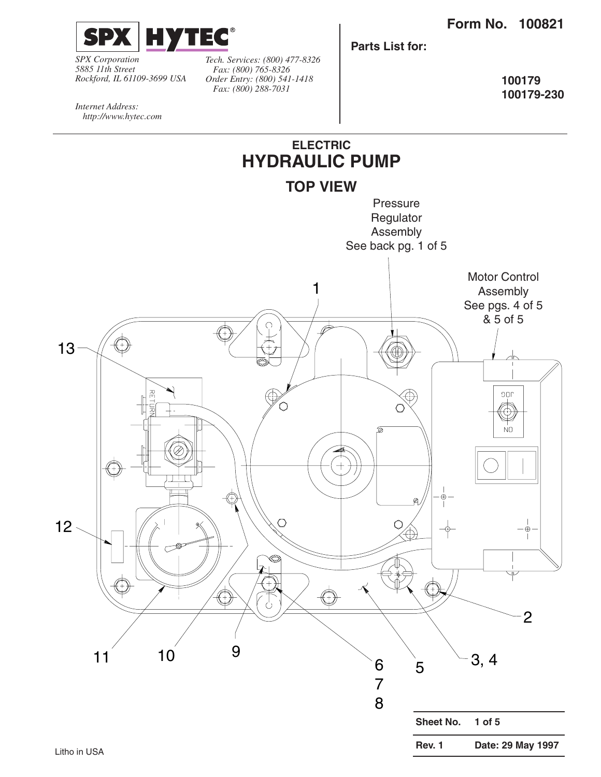

*SPX Corporation 5885 11th Street Rockford, IL 61109-3699 USA* *Tech. Services: (800) 477-8326 Fax: (800) 765-8326 Order Entry: (800) 541-1418 Fax: (800) 288-7031*

**Parts List for:**

**100179 100179-230**

*Internet Address: http://www.hytec.com*

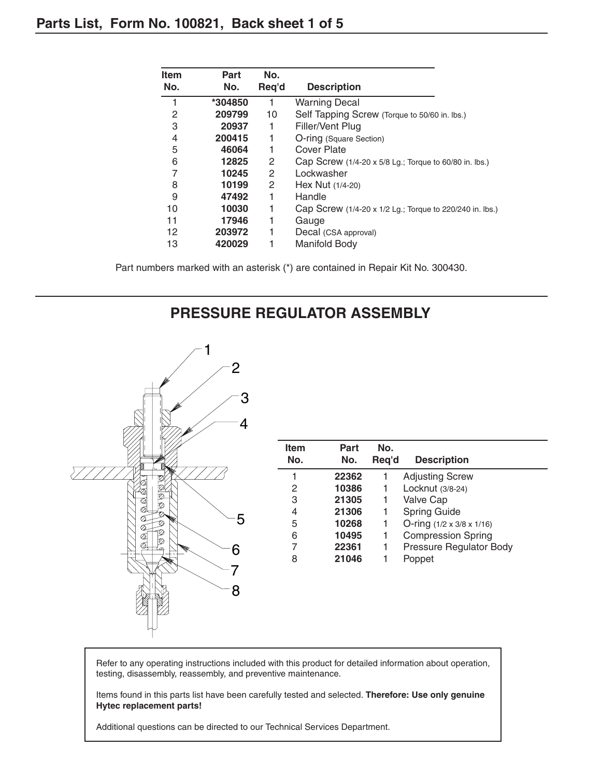| <b>Item</b> | Part    | No.                   |                                                          |
|-------------|---------|-----------------------|----------------------------------------------------------|
| No.         | No.     | Req'd                 | <b>Description</b>                                       |
|             | *304850 | 1                     | <b>Warning Decal</b>                                     |
| 2           | 209799  | 10                    | Self Tapping Screw (Torque to 50/60 in. lbs.)            |
| 3           | 20937   | 1                     | Filler/Vent Plug                                         |
| 4           | 200415  | 1                     | O-ring (Square Section)                                  |
| 5           | 46064   | 1                     | Cover Plate                                              |
| 6           | 12825   | $\mathbf{2}$          | Cap Screw (1/4-20 x 5/8 Lg.; Torque to 60/80 in. lbs.)   |
| 7           | 10245   | $\mathbf{2}^{\prime}$ | Lockwasher                                               |
| 8           | 10199   | 2                     | Hex Nut (1/4-20)                                         |
| 9           | 47492   | 1                     | Handle                                                   |
| 10          | 10030   | 1                     | Cap Screw (1/4-20 x 1/2 Lg.; Torque to 220/240 in. lbs.) |
| 11          | 17946   | 1                     | Gauge                                                    |
| 12          | 203972  | 1                     | Decal (CSA approval)                                     |
| 13          | 420029  |                       | Manifold Body                                            |

Part numbers marked with an asterisk (\*) are contained in Repair Kit No. 300430.

## **PRESSURE REGULATOR ASSEMBLY**



| <b>Item</b>    | Part  | No.   |                                       |
|----------------|-------|-------|---------------------------------------|
| No.            | No.   | Req'd | <b>Description</b>                    |
|                | 22362 |       | <b>Adjusting Screw</b>                |
| 2              | 10386 |       | Locknut (3/8-24)                      |
| 3              | 21305 | 1     | Valve Cap                             |
| 4              | 21306 |       | <b>Spring Guide</b>                   |
| 5              | 10268 | 1     | O-ring $(1/2 \times 3/8 \times 1/16)$ |
| 6              | 10495 | 1     | <b>Compression Spring</b>             |
| $\overline{7}$ | 22361 | 1     | Pressure Regulator Body               |
| 8              | 21046 |       | Poppet                                |
|                |       |       |                                       |
|                |       |       |                                       |

Refer to any operating instructions included with this product for detailed information about operation, testing, disassembly, reassembly, and preventive maintenance.

Items found in this parts list have been carefully tested and selected. **Therefore: Use only genuine Hytec replacement parts!**

Additional questions can be directed to our Technical Services Department.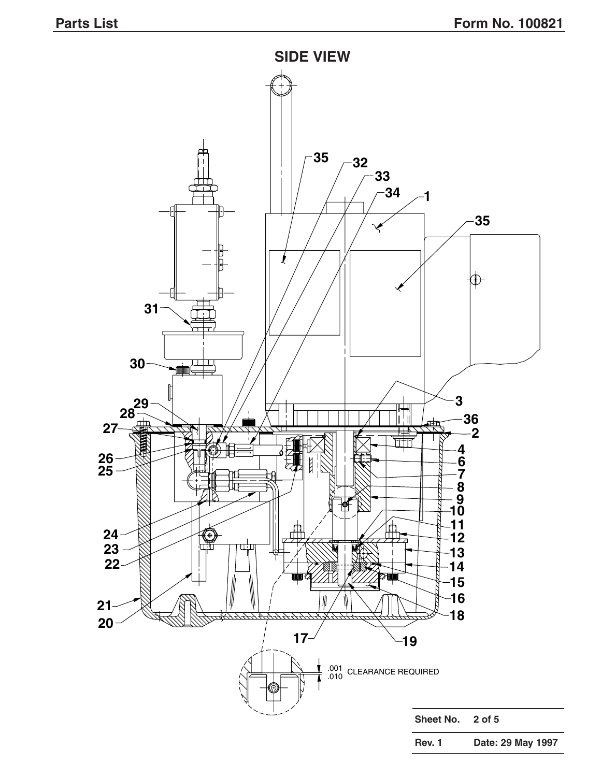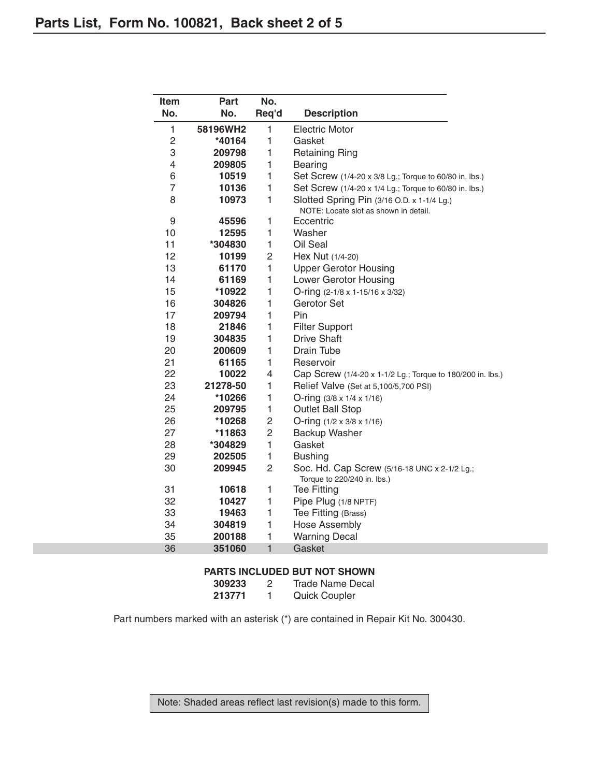| Item           | Part              | No.                 |                                                            |  |  |
|----------------|-------------------|---------------------|------------------------------------------------------------|--|--|
| No.            | No.               | Req'd               | <b>Description</b>                                         |  |  |
| 1              | 58196WH2          | 1                   | <b>Electric Motor</b>                                      |  |  |
| 2              | *40164            | $\mathbf{1}$        | Gasket                                                     |  |  |
| 3              | 209798            | 1                   | <b>Retaining Ring</b>                                      |  |  |
| 4              | 209805            | 1                   | <b>Bearing</b>                                             |  |  |
| 6              | 10519             | 1                   | Set Screw (1/4-20 x 3/8 Lg.; Torque to 60/80 in. lbs.)     |  |  |
| $\overline{7}$ | 10136             | 1                   | Set Screw (1/4-20 x 1/4 Lg.; Torque to 60/80 in. lbs.)     |  |  |
| 8              | 10973             | 1                   | Slotted Spring Pin (3/16 O.D. x 1-1/4 Lg.)                 |  |  |
|                |                   |                     | NOTE: Locate slot as shown in detail.                      |  |  |
| 9              | 45596             | 1                   | Eccentric                                                  |  |  |
| 10             | 12595             | 1                   | Washer                                                     |  |  |
| 11             | *304830           | 1                   | Oil Seal                                                   |  |  |
| 12             | 10199             | 2                   | Hex Nut (1/4-20)                                           |  |  |
| 13             | 61170             | 1                   | <b>Upper Gerotor Housing</b>                               |  |  |
| 14             | 61169             | 1                   | Lower Gerotor Housing                                      |  |  |
| 15             | *10922            | 1                   | O-ring (2-1/8 x 1-15/16 x 3/32)                            |  |  |
| 16             | 304826            | 1                   | Gerotor Set                                                |  |  |
| 17             | 209794            | $\mathbf{1}$        | Pin                                                        |  |  |
| 18             | 21846             | 1                   | <b>Filter Support</b>                                      |  |  |
| 19             | 304835            | 1                   | <b>Drive Shaft</b>                                         |  |  |
| 20             | 200609            | $\mathbf{1}$        | Drain Tube                                                 |  |  |
| 21             | 61165             | $\mathbf{1}$        | Reservoir                                                  |  |  |
| 22             | 10022             | 4                   | Cap Screw (1/4-20 x 1-1/2 Lg.; Torque to 180/200 in. lbs.) |  |  |
| 23             | 21278-50          | 1                   | Relief Valve (Set at 5,100/5,700 PSI)                      |  |  |
| 24             | *10266            | 1                   | O-ring $(3/8 \times 1/4 \times 1/16)$                      |  |  |
| 25<br>26       | 209795            | 1<br>$\overline{c}$ | <b>Outlet Ball Stop</b>                                    |  |  |
| 27             | *10268            | 2                   | O-ring $(1/2 \times 3/8 \times 1/16)$                      |  |  |
| 28             | *11863<br>*304829 | 1                   | Backup Washer<br>Gasket                                    |  |  |
| 29             | 202505            | $\mathbf{1}$        | <b>Bushing</b>                                             |  |  |
| 30             | 209945            | 2                   | Soc. Hd. Cap Screw (5/16-18 UNC x 2-1/2 Lg.;               |  |  |
|                |                   |                     | Torque to 220/240 in. lbs.)                                |  |  |
| 31             | 10618             | 1                   | <b>Tee Fitting</b>                                         |  |  |
| 32             | 10427             | 1                   | Pipe Plug (1/8 NPTF)                                       |  |  |
| 33             | 19463             | 1                   | Tee Fitting (Brass)                                        |  |  |
| 34             | 304819            | 1                   | Hose Assembly                                              |  |  |
| 35             | 200188            | 1                   | <b>Warning Decal</b>                                       |  |  |
| 36             | 351060            | $\mathbf{1}$        | Gasket                                                     |  |  |

#### **PARTS INCLUDED BUT NOT SHOWN**

| 309233 | 2 | Trade Name Decal     |
|--------|---|----------------------|
| 213771 |   | <b>Quick Coupler</b> |

Part numbers marked with an asterisk (\*) are contained in Repair Kit No. 300430.

Note: Shaded areas reflect last revision(s) made to this form.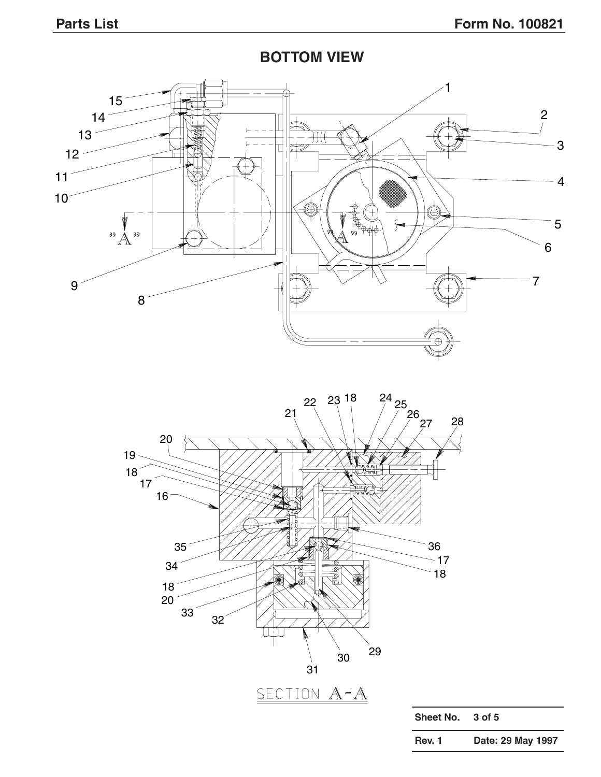**BOTTOM VIEW**





**Rev. 1 Date: 29 May 1997**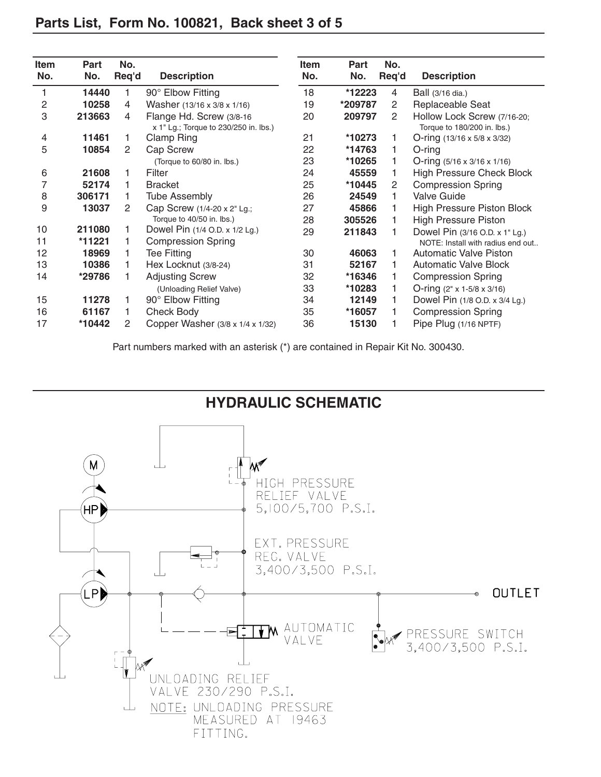| <b>Item</b>    | <b>Part</b> | No.            |                                                                    | <b>Item</b> | Part    | No.            |                                                            |
|----------------|-------------|----------------|--------------------------------------------------------------------|-------------|---------|----------------|------------------------------------------------------------|
| No.            | No.         | Req'd          | <b>Description</b>                                                 | No.         | No.     | Req'd          | <b>Description</b>                                         |
| 1              | 14440       | 1              | 90° Elbow Fitting                                                  | 18          | *12223  | 4              | Ball (3/16 dia.)                                           |
| $\overline{c}$ | 10258       | 4              | Washer (13/16 x 3/8 x 1/16)                                        | 19          | *209787 | $\mathbf{2}$   | Replaceable Seat                                           |
| 3              | 213663      | 4              | Flange Hd. Screw (3/8-16)<br>x 1" Lg.; Torque to 230/250 in. lbs.) | 20          | 209797  | $\overline{2}$ | Hollow Lock Screw (7/16-20;<br>Torque to 180/200 in. lbs.) |
| 4              | 11461       | 1.             | <b>Clamp Ring</b>                                                  | 21          | *10273  |                | O-ring $(13/16 \times 5/8 \times 3/32)$                    |
| 5              | 10854       | 2              | Cap Screw                                                          | 22          | *14763  |                | $O$ -ring                                                  |
|                |             |                | (Torque to 60/80 in. lbs.)                                         | 23          | *10265  |                | O-ring $(5/16 \times 3/16 \times 1/16)$                    |
| 6              | 21608       | 1              | Filter                                                             | 24          | 45559   |                | <b>High Pressure Check Block</b>                           |
| 7              | 52174       | 1              | <b>Bracket</b>                                                     | 25          | *10445  | $\overline{2}$ | <b>Compression Spring</b>                                  |
| 8              | 306171      | 1.             | <b>Tube Assembly</b>                                               | 26          | 24549   |                | <b>Valve Guide</b>                                         |
| 9              | 13037       | $\overline{2}$ | Cap Screw (1/4-20 x 2" Lg.;                                        | 27          | 45866   |                | High Pressure Piston Block                                 |
|                |             |                | Torque to 40/50 in. lbs.)                                          | 28          | 305526  |                | <b>High Pressure Piston</b>                                |
| 10             | 211080      | 1.             | Dowel Pin (1/4 O.D. x 1/2 Lg.)                                     | 29          | 211843  |                | Dowel Pin (3/16 O.D. x 1" Lg.)                             |
| 11             | *11221      | 1              | <b>Compression Spring</b>                                          |             |         |                | NOTE: Install with radius end out                          |
| 12             | 18969       | 1              | <b>Tee Fitting</b>                                                 | 30          | 46063   |                | <b>Automatic Valve Piston</b>                              |
| 13             | 10386       | 1              | Hex Locknut (3/8-24)                                               | 31          | 52167   |                | <b>Automatic Valve Block</b>                               |
| 14             | *29786      | 1.             | <b>Adjusting Screw</b>                                             | 32          | *16346  |                | <b>Compression Spring</b>                                  |
|                |             |                | (Unloading Relief Valve)                                           | 33          | *10283  |                | O-ring $(2" \times 1 - 5/8 \times 3/16)$                   |
| 15             | 11278       | 1              | 90° Elbow Fitting                                                  | 34          | 12149   |                | Dowel Pin (1/8 O.D. x 3/4 Lg.)                             |
| 16             | 61167       | 1              | Check Body                                                         | 35          | *16057  |                | <b>Compression Spring</b>                                  |
| 17             | *10442      | 2              | Copper Washer (3/8 x 1/4 x 1/32)                                   | 36          | 15130   |                | Pipe Plug (1/16 NPTF)                                      |

## **Parts List, Form No. 100821, Back sheet 3 of 5**

Part numbers marked with an asterisk (\*) are contained in Repair Kit No. 300430.

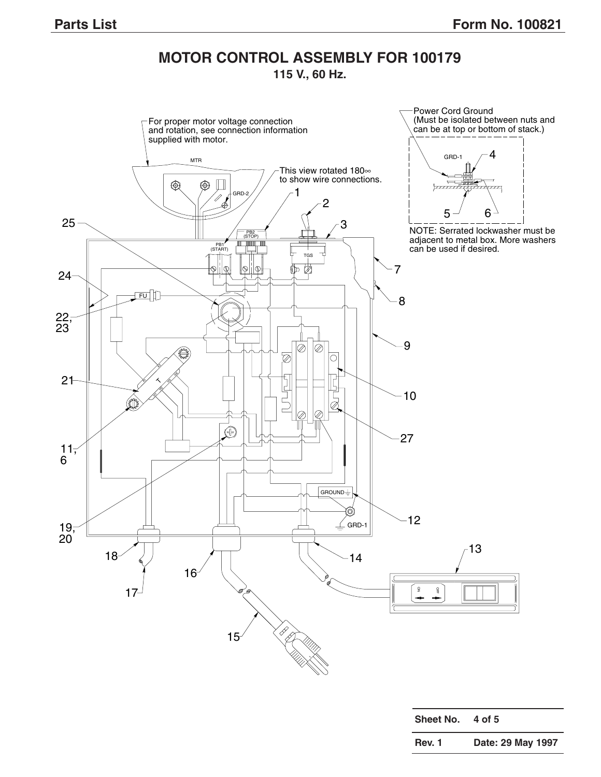# **MOTOR CONTROL ASSEMBLY FOR 100179**

## **115 V., 60 Hz.**



| Rev. 1 | Date: 29 May 1997 |  |
|--------|-------------------|--|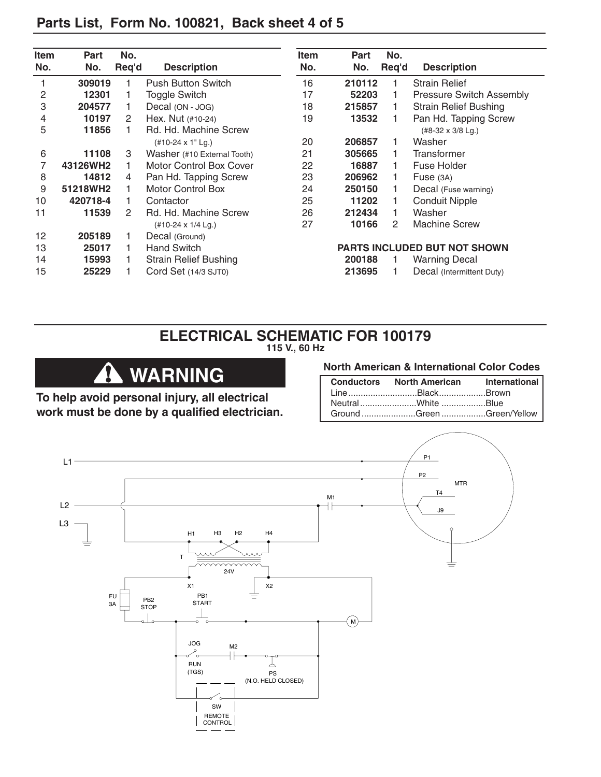| <b>Item</b> | Part     | No.   |                                | <b>Item</b> | Part   | No.   |                                 |
|-------------|----------|-------|--------------------------------|-------------|--------|-------|---------------------------------|
| No.         | No.      | Req'd | <b>Description</b>             | No.         | No.    | Req'd | <b>Description</b>              |
|             | 309019   |       | <b>Push Button Switch</b>      | 16          | 210112 |       | <b>Strain Relief</b>            |
| 2           | 12301    |       | <b>Toggle Switch</b>           | 17          | 52203  |       | <b>Pressure Switch Assembly</b> |
| 3           | 204577   |       | Decal (ON - JOG)               | 18          | 215857 |       | <b>Strain Relief Bushing</b>    |
| 4           | 10197    | 2     | Hex. Nut (#10-24)              | 19          | 13532  |       | Pan Hd. Tapping Screw           |
| 5           | 11856    |       | Rd. Hd. Machine Screw          |             |        |       | $(\#8-32 \times 3/8$ Lg.)       |
|             |          |       | (#10-24 x 1" Lg.)              | 20          | 206857 |       | Washer                          |
| 6           | 11108    | 3     | Washer (#10 External Tooth)    | 21          | 305665 |       | Transformer                     |
| 7           | 43126WH2 |       | <b>Motor Control Box Cover</b> | 22          | 16887  |       | Fuse Holder                     |
| 8           | 14812    | 4     | Pan Hd. Tapping Screw          | 23          | 206962 |       | Fuse $(3A)$                     |
| 9           | 51218WH2 |       | <b>Motor Control Box</b>       | 24          | 250150 |       | Decal (Fuse warning)            |
| 10          | 420718-4 |       | Contactor                      | 25          | 11202  |       | <b>Conduit Nipple</b>           |
| 11          | 11539    | 2     | Rd. Hd. Machine Screw          | 26          | 212434 |       | Washer                          |
|             |          |       | (#10-24 x 1/4 Lg.)             | 27          | 10166  | 2     | <b>Machine Screw</b>            |
| 12          | 205189   |       | Decal (Ground)                 |             |        |       |                                 |
| 13          | 25017    |       | <b>Hand Switch</b>             |             |        |       | PARTS INCLUDED BUT NOT SHOWN    |
| 14          | 15993    |       | <b>Strain Relief Bushing</b>   |             | 200188 |       | Warning Decal                   |
| 15          | 25229    |       | Cord Set (14/3 SJT0)           |             | 213695 |       | Decal (Intermittent Duty)       |

## **Parts List, Form No. 100821, Back sheet 4 of 5**

### **ELECTRICAL SCHEMATIC FOR 100179 115 V., 60 Hz**



**To help avoid personal injury, all electrical work must be done by a qualified electrician.**

### **North American & International Color Codes**

| <b>Conductors</b> North American | International |
|----------------------------------|---------------|
| LineBlackBrown                   |               |
| NeutralWhite Blue                |               |
| Ground Green Green/Yellow        |               |

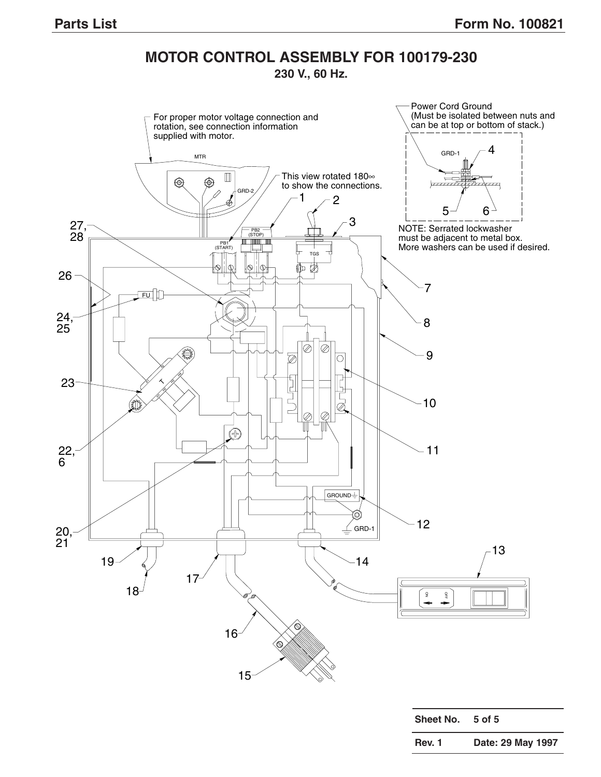# **MOTOR CONTROL ASSEMBLY FOR 100179-230**

**230 V., 60 Hz.**



| JIIGGL INU.   | . J VI J          |
|---------------|-------------------|
| <b>Rev. 1</b> | Date: 29 May 1997 |